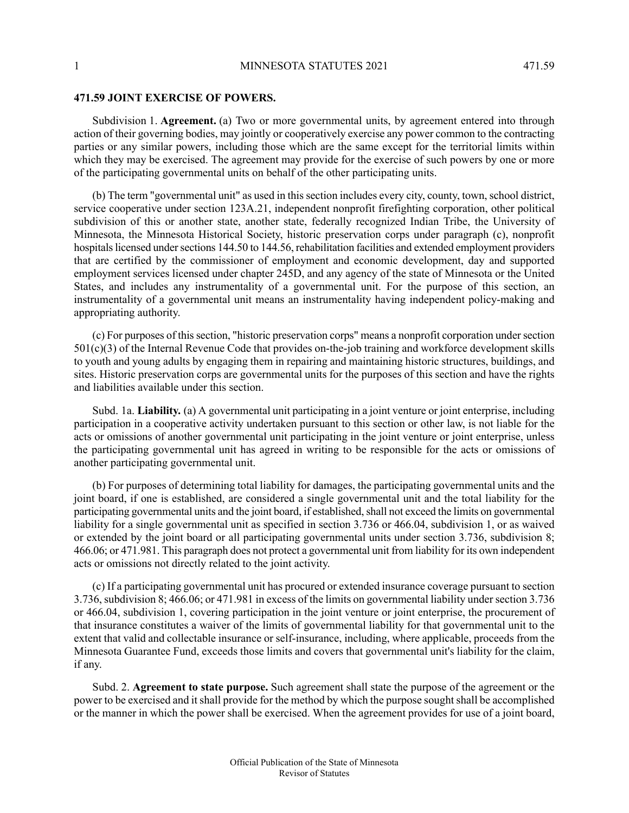## **471.59 JOINT EXERCISE OF POWERS.**

Subdivision 1. **Agreement.** (a) Two or more governmental units, by agreement entered into through action of their governing bodies, may jointly or cooperatively exercise any power common to the contracting parties or any similar powers, including those which are the same except for the territorial limits within which they may be exercised. The agreement may provide for the exercise of such powers by one or more of the participating governmental units on behalf of the other participating units.

(b) The term "governmental unit" as used in this section includes every city, county, town, school district, service cooperative under section 123A.21, independent nonprofit firefighting corporation, other political subdivision of this or another state, another state, federally recognized Indian Tribe, the University of Minnesota, the Minnesota Historical Society, historic preservation corps under paragraph (c), nonprofit hospitals licensed under sections 144.50 to 144.56, rehabilitation facilities and extended employment providers that are certified by the commissioner of employment and economic development, day and supported employment services licensed under chapter 245D, and any agency of the state of Minnesota or the United States, and includes any instrumentality of a governmental unit. For the purpose of this section, an instrumentality of a governmental unit means an instrumentality having independent policy-making and appropriating authority.

(c) For purposes of thissection, "historic preservation corps" means a nonprofit corporation undersection 501(c)(3) of the Internal Revenue Code that provides on-the-job training and workforce development skills to youth and young adults by engaging them in repairing and maintaining historic structures, buildings, and sites. Historic preservation corps are governmental units for the purposes of this section and have the rights and liabilities available under this section.

Subd. 1a. **Liability.** (a) A governmental unit participating in a joint venture or joint enterprise, including participation in a cooperative activity undertaken pursuant to this section or other law, is not liable for the acts or omissions of another governmental unit participating in the joint venture or joint enterprise, unless the participating governmental unit has agreed in writing to be responsible for the acts or omissions of another participating governmental unit.

(b) For purposes of determining total liability for damages, the participating governmental units and the joint board, if one is established, are considered a single governmental unit and the total liability for the participating governmental units and the joint board, if established, shall not exceed the limits on governmental liability for a single governmental unit as specified in section 3.736 or 466.04, subdivision 1, or as waived or extended by the joint board or all participating governmental units under section 3.736, subdivision 8; 466.06; or 471.981. This paragraph does not protect a governmental unit from liability for its own independent acts or omissions not directly related to the joint activity.

(c) If a participating governmental unit has procured or extended insurance coverage pursuant to section 3.736, subdivision 8; 466.06; or 471.981 in excess of the limits on governmental liability under section 3.736 or 466.04, subdivision 1, covering participation in the joint venture or joint enterprise, the procurement of that insurance constitutes a waiver of the limits of governmental liability for that governmental unit to the extent that valid and collectable insurance or self-insurance, including, where applicable, proceeds from the Minnesota Guarantee Fund, exceeds those limits and covers that governmental unit's liability for the claim, if any.

Subd. 2. **Agreement to state purpose.** Such agreement shall state the purpose of the agreement or the power to be exercised and it shall provide for the method by which the purpose sought shall be accomplished or the manner in which the power shall be exercised. When the agreement provides for use of a joint board,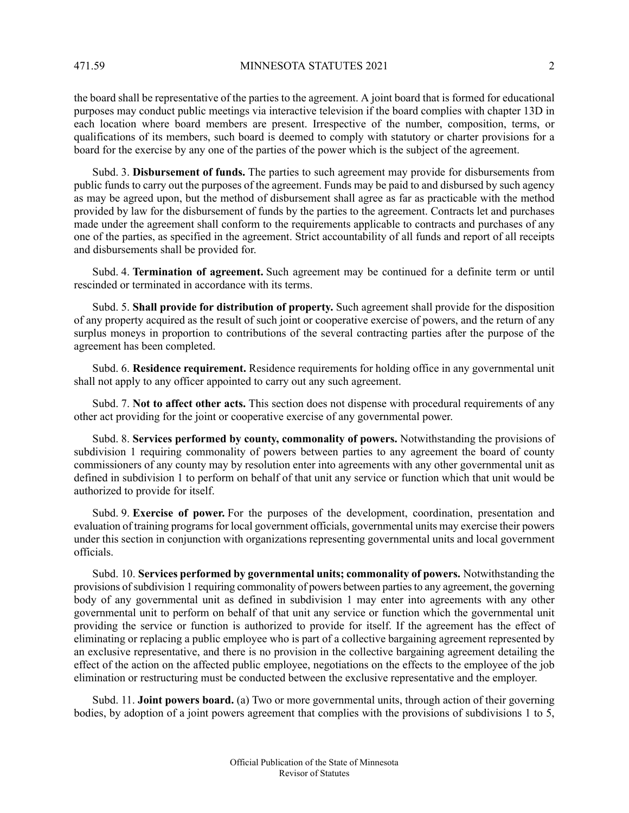471.59 MINNESOTA STATUTES 2021 2

the board shall be representative of the parties to the agreement. A joint board that is formed for educational purposes may conduct public meetings via interactive television if the board complies with chapter 13D in each location where board members are present. Irrespective of the number, composition, terms, or qualifications of its members, such board is deemed to comply with statutory or charter provisions for a board for the exercise by any one of the parties of the power which is the subject of the agreement.

Subd. 3. **Disbursement of funds.** The parties to such agreement may provide for disbursements from public funds to carry out the purposes of the agreement. Funds may be paid to and disbursed by such agency as may be agreed upon, but the method of disbursement shall agree as far as practicable with the method provided by law for the disbursement of funds by the parties to the agreement. Contracts let and purchases made under the agreement shall conform to the requirements applicable to contracts and purchases of any one of the parties, as specified in the agreement. Strict accountability of all funds and report of all receipts and disbursements shall be provided for.

Subd. 4. **Termination of agreement.** Such agreement may be continued for a definite term or until rescinded or terminated in accordance with its terms.

Subd. 5. **Shall provide for distribution of property.** Such agreement shall provide for the disposition of any property acquired as the result of such joint or cooperative exercise of powers, and the return of any surplus moneys in proportion to contributions of the several contracting parties after the purpose of the agreement has been completed.

Subd. 6. **Residence requirement.** Residence requirements for holding office in any governmental unit shall not apply to any officer appointed to carry out any such agreement.

Subd. 7. **Not to affect other acts.** This section does not dispense with procedural requirements of any other act providing for the joint or cooperative exercise of any governmental power.

Subd. 8. **Services performed by county, commonality of powers.** Notwithstanding the provisions of subdivision 1 requiring commonality of powers between parties to any agreement the board of county commissioners of any county may by resolution enter into agreements with any other governmental unit as defined in subdivision 1 to perform on behalf of that unit any service or function which that unit would be authorized to provide for itself.

Subd. 9. **Exercise of power.** For the purposes of the development, coordination, presentation and evaluation of training programs for local government officials, governmental units may exercise their powers under this section in conjunction with organizations representing governmental units and local government officials.

Subd. 10. **Services performed by governmental units; commonality of powers.** Notwithstanding the provisions of subdivision 1 requiring commonality of powers between parties to any agreement, the governing body of any governmental unit as defined in subdivision 1 may enter into agreements with any other governmental unit to perform on behalf of that unit any service or function which the governmental unit providing the service or function is authorized to provide for itself. If the agreement has the effect of eliminating or replacing a public employee who is part of a collective bargaining agreement represented by an exclusive representative, and there is no provision in the collective bargaining agreement detailing the effect of the action on the affected public employee, negotiations on the effects to the employee of the job elimination or restructuring must be conducted between the exclusive representative and the employer.

Subd. 11. **Joint powers board.** (a) Two or more governmental units, through action of their governing bodies, by adoption of a joint powers agreement that complies with the provisions of subdivisions 1 to 5,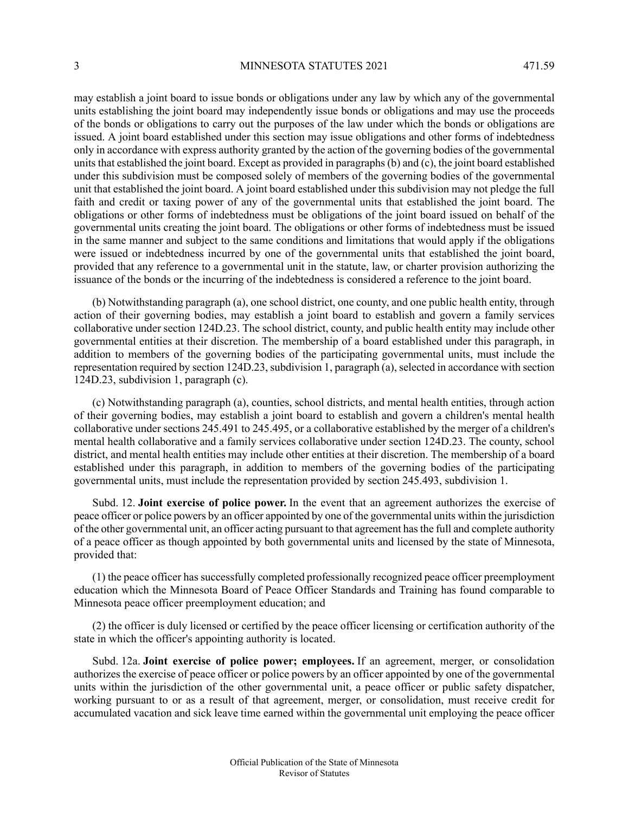may establish a joint board to issue bonds or obligations under any law by which any of the governmental units establishing the joint board may independently issue bonds or obligations and may use the proceeds of the bonds or obligations to carry out the purposes of the law under which the bonds or obligations are issued. A joint board established under this section may issue obligations and other forms of indebtedness only in accordance with express authority granted by the action of the governing bodies of the governmental units that established the joint board. Except as provided in paragraphs (b) and (c), the joint board established under this subdivision must be composed solely of members of the governing bodies of the governmental unit that established the joint board. A joint board established under this subdivision may not pledge the full faith and credit or taxing power of any of the governmental units that established the joint board. The obligations or other forms of indebtedness must be obligations of the joint board issued on behalf of the governmental units creating the joint board. The obligations or other forms of indebtedness must be issued in the same manner and subject to the same conditions and limitations that would apply if the obligations were issued or indebtedness incurred by one of the governmental units that established the joint board, provided that any reference to a governmental unit in the statute, law, or charter provision authorizing the issuance of the bonds or the incurring of the indebtedness is considered a reference to the joint board.

(b) Notwithstanding paragraph (a), one school district, one county, and one public health entity, through action of their governing bodies, may establish a joint board to establish and govern a family services collaborative under section 124D.23. The school district, county, and public health entity may include other governmental entities at their discretion. The membership of a board established under this paragraph, in addition to members of the governing bodies of the participating governmental units, must include the representation required by section 124D.23, subdivision 1, paragraph (a), selected in accordance with section 124D.23, subdivision 1, paragraph (c).

(c) Notwithstanding paragraph (a), counties, school districts, and mental health entities, through action of their governing bodies, may establish a joint board to establish and govern a children's mental health collaborative under sections 245.491 to 245.495, or a collaborative established by the merger of a children's mental health collaborative and a family services collaborative under section 124D.23. The county, school district, and mental health entities may include other entities at their discretion. The membership of a board established under this paragraph, in addition to members of the governing bodies of the participating governmental units, must include the representation provided by section 245.493, subdivision 1.

Subd. 12. **Joint exercise of police power.** In the event that an agreement authorizes the exercise of peace officer or police powers by an officer appointed by one of the governmental units within the jurisdiction of the other governmental unit, an officer acting pursuant to that agreement hasthe full and complete authority of a peace officer as though appointed by both governmental units and licensed by the state of Minnesota, provided that:

(1) the peace officer has successfully completed professionally recognized peace officer preemployment education which the Minnesota Board of Peace Officer Standards and Training has found comparable to Minnesota peace officer preemployment education; and

(2) the officer is duly licensed or certified by the peace officer licensing or certification authority of the state in which the officer's appointing authority is located.

Subd. 12a. **Joint exercise of police power; employees.** If an agreement, merger, or consolidation authorizes the exercise of peace officer or police powers by an officer appointed by one of the governmental units within the jurisdiction of the other governmental unit, a peace officer or public safety dispatcher, working pursuant to or as a result of that agreement, merger, or consolidation, must receive credit for accumulated vacation and sick leave time earned within the governmental unit employing the peace officer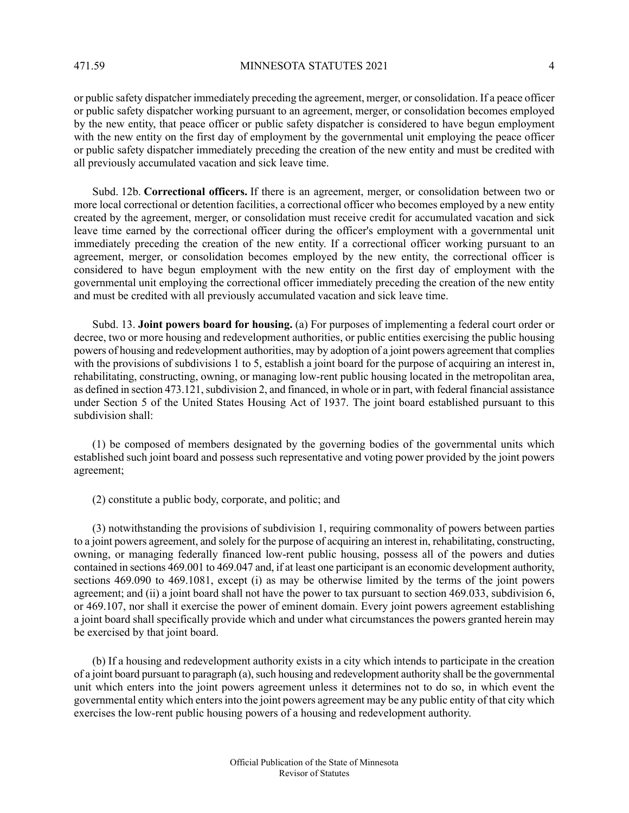471.59 MINNESOTA STATUTES 2021 4

or public safety dispatcher immediately preceding the agreement, merger, or consolidation. If a peace officer or public safety dispatcher working pursuant to an agreement, merger, or consolidation becomes employed by the new entity, that peace officer or public safety dispatcher is considered to have begun employment with the new entity on the first day of employment by the governmental unit employing the peace officer or public safety dispatcher immediately preceding the creation of the new entity and must be credited with all previously accumulated vacation and sick leave time.

Subd. 12b. **Correctional officers.** If there is an agreement, merger, or consolidation between two or more local correctional or detention facilities, a correctional officer who becomes employed by a new entity created by the agreement, merger, or consolidation must receive credit for accumulated vacation and sick leave time earned by the correctional officer during the officer's employment with a governmental unit immediately preceding the creation of the new entity. If a correctional officer working pursuant to an agreement, merger, or consolidation becomes employed by the new entity, the correctional officer is considered to have begun employment with the new entity on the first day of employment with the governmental unit employing the correctional officer immediately preceding the creation of the new entity and must be credited with all previously accumulated vacation and sick leave time.

Subd. 13. **Joint powers board for housing.** (a) For purposes of implementing a federal court order or decree, two or more housing and redevelopment authorities, or public entities exercising the public housing powers of housing and redevelopment authorities, may by adoption of a joint powers agreement that complies with the provisions of subdivisions 1 to 5, establish a joint board for the purpose of acquiring an interest in, rehabilitating, constructing, owning, or managing low-rent public housing located in the metropolitan area, as defined in section 473.121, subdivision 2, and financed, in whole or in part, with federal financial assistance under Section 5 of the United States Housing Act of 1937. The joint board established pursuant to this subdivision shall:

(1) be composed of members designated by the governing bodies of the governmental units which established such joint board and possess such representative and voting power provided by the joint powers agreement;

(2) constitute a public body, corporate, and politic; and

(3) notwithstanding the provisions of subdivision 1, requiring commonality of powers between parties to a joint powers agreement, and solely for the purpose of acquiring an interest in, rehabilitating, constructing, owning, or managing federally financed low-rent public housing, possess all of the powers and duties contained in sections 469.001 to 469.047 and, if at least one participant is an economic development authority, sections 469.090 to 469.1081, except (i) as may be otherwise limited by the terms of the joint powers agreement; and (ii) a joint board shall not have the power to tax pursuant to section 469.033, subdivision 6, or 469.107, nor shall it exercise the power of eminent domain. Every joint powers agreement establishing a joint board shall specifically provide which and under what circumstances the powers granted herein may be exercised by that joint board.

(b) If a housing and redevelopment authority exists in a city which intends to participate in the creation of a joint board pursuant to paragraph (a), such housing and redevelopment authority shall be the governmental unit which enters into the joint powers agreement unless it determines not to do so, in which event the governmental entity which entersinto the joint powers agreement may be any public entity of that city which exercises the low-rent public housing powers of a housing and redevelopment authority.